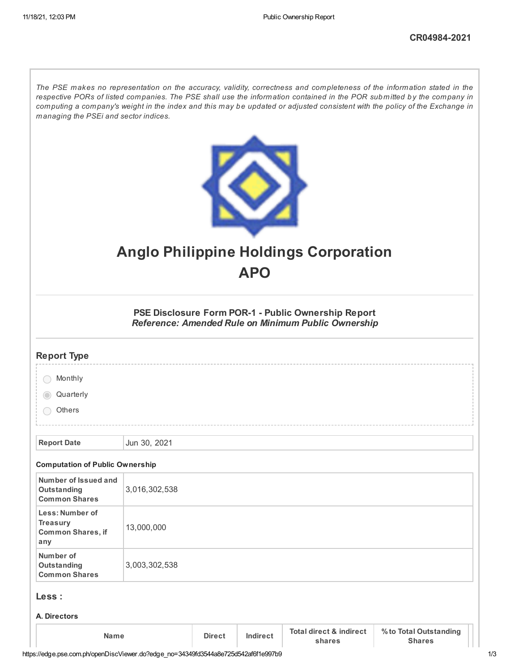The PSE makes no representation on the accuracy, validity, correctness and completeness of the information stated in the respective PORs of listed companies. The PSE shall use the information contained in the POR submitted by the company in computing a company's weight in the index and this may be updated or adjusted consistent with the policy of the Exchange in *managing the PSEi and sector indices.*



# **Anglo Philippine Holdings Corporation APO**

**PSE Disclosure Form POR-1 - Public Ownership Report** *Reference: Amended Rule on Minimum Public Ownership*

| <b>Report Type</b>                                                    |               |               |          |                                              |                                         |
|-----------------------------------------------------------------------|---------------|---------------|----------|----------------------------------------------|-----------------------------------------|
| Monthly                                                               |               |               |          |                                              |                                         |
| Quarterly                                                             |               |               |          |                                              |                                         |
| Others                                                                |               |               |          |                                              |                                         |
|                                                                       |               |               |          |                                              |                                         |
| <b>Report Date</b>                                                    | Jun 30, 2021  |               |          |                                              |                                         |
| <b>Computation of Public Ownership</b>                                |               |               |          |                                              |                                         |
| Number of Issued and<br>Outstanding<br><b>Common Shares</b>           | 3,016,302,538 |               |          |                                              |                                         |
| Less: Number of<br><b>Treasury</b><br><b>Common Shares, if</b><br>any | 13,000,000    |               |          |                                              |                                         |
| Number of<br>Outstanding<br><b>Common Shares</b>                      | 3,003,302,538 |               |          |                                              |                                         |
| Less :                                                                |               |               |          |                                              |                                         |
| A. Directors                                                          |               |               |          |                                              |                                         |
| <b>Name</b>                                                           |               | <b>Direct</b> | Indirect | <b>Total direct &amp; indirect</b><br>shares | % to Total Outstanding<br><b>Shares</b> |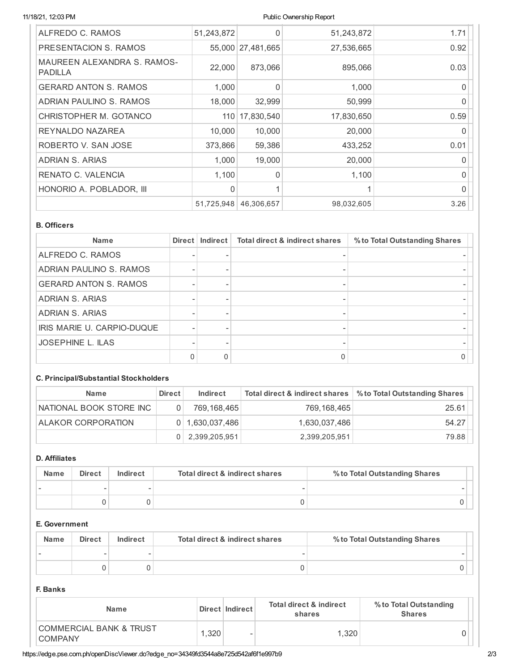## 11/18/21, 12:03 PM Public Ownership Report

| ALFREDO C. RAMOS                              | 51,243,872 | 0                 | 51,243,872 | 1.71     |
|-----------------------------------------------|------------|-------------------|------------|----------|
| PRESENTACION S. RAMOS                         |            | 55,000 27,481,665 | 27,536,665 | 0.92     |
| MAUREEN ALEXANDRA S. RAMOS-<br><b>PADILLA</b> | 22,000     | 873,066           | 895,066    | 0.03     |
| <b>GERARD ANTON S. RAMOS</b>                  | 1.000      | $\Omega$          | 1,000      | 0        |
| ADRIAN PAULINO S. RAMOS                       | 18,000     | 32,999            | 50,999     | $\Omega$ |
| CHRISTOPHER M. GOTANCO                        |            | 110 17,830,540    | 17,830,650 | 0.59     |
| REYNALDO NAZAREA                              | 10,000     | 10,000            | 20,000     | $\Omega$ |
| ROBERTO V. SAN JOSE                           | 373,866    | 59,386            | 433,252    | 0.01     |
| ADRIAN S. ARIAS                               | 1,000      | 19,000            | 20,000     | $\Omega$ |
| RENATO C. VALENCIA                            | 1,100      | $\Omega$          | 1,100      | $\Omega$ |
| HONORIO A. POBLADOR, III                      | $\Omega$   |                   |            | $\Omega$ |
|                                               | 51,725,948 | 46,306,657        | 98,032,605 | 3.26     |

# **B. Officers**

| <b>Name</b>                  | Direct   Indirect | <b>Total direct &amp; indirect shares</b> | % to Total Outstanding Shares |
|------------------------------|-------------------|-------------------------------------------|-------------------------------|
| ALFREDO C. RAMOS             |                   |                                           |                               |
| ADRIAN PAULINO S. RAMOS      |                   |                                           |                               |
| <b>GERARD ANTON S. RAMOS</b> |                   |                                           |                               |
| ADRIAN S. ARIAS              |                   |                                           |                               |
| <b>ADRIAN S. ARIAS</b>       |                   |                                           |                               |
| IRIS MARIE U. CARPIO-DUQUE   |                   |                                           |                               |
| <b>JOSEPHINE L. ILAS</b>     |                   |                                           |                               |
|                              | 0                 |                                           |                               |

# **C. Principal/Substantial Stockholders**

| <b>Name</b>               | <b>Direct</b> | Indirect            | Total direct & indirect shares | % to Total Outstanding Shares |
|---------------------------|---------------|---------------------|--------------------------------|-------------------------------|
| NATIONAL BOOK STORE INC   |               | 769,168,465         | 769.168.465                    | 25.61                         |
| <b>ALAKOR CORPORATION</b> |               | $0$   1,630,037,486 | 1,630,037,486                  | 54.27                         |
|                           | 0.            | 2,399,205,951       | 2,399,205,951                  | 79.88                         |

# **D. Affiliates**

| <b>Name</b> | <b>Direct</b> | Indirect | Total direct & indirect shares | % to Total Outstanding Shares |
|-------------|---------------|----------|--------------------------------|-------------------------------|
|             |               |          |                                |                               |
|             |               |          |                                |                               |

# **E. Government**

| <b>Name</b> | <b>Direct</b> | Indirect | Total direct & indirect shares | % to Total Outstanding Shares |
|-------------|---------------|----------|--------------------------------|-------------------------------|
|             |               | -        |                                |                               |
|             |               |          |                                |                               |

# **F. Banks**

| <b>Name</b>                                          |      | Direct   Indirect | <b>Total direct &amp; indirect</b><br>shares | % to Total Outstanding<br><b>Shares</b> |
|------------------------------------------------------|------|-------------------|----------------------------------------------|-----------------------------------------|
| <b>COMMERCIAL BANK &amp; TRUST</b><br><b>COMPANY</b> | .320 | -                 | 1.320                                        |                                         |